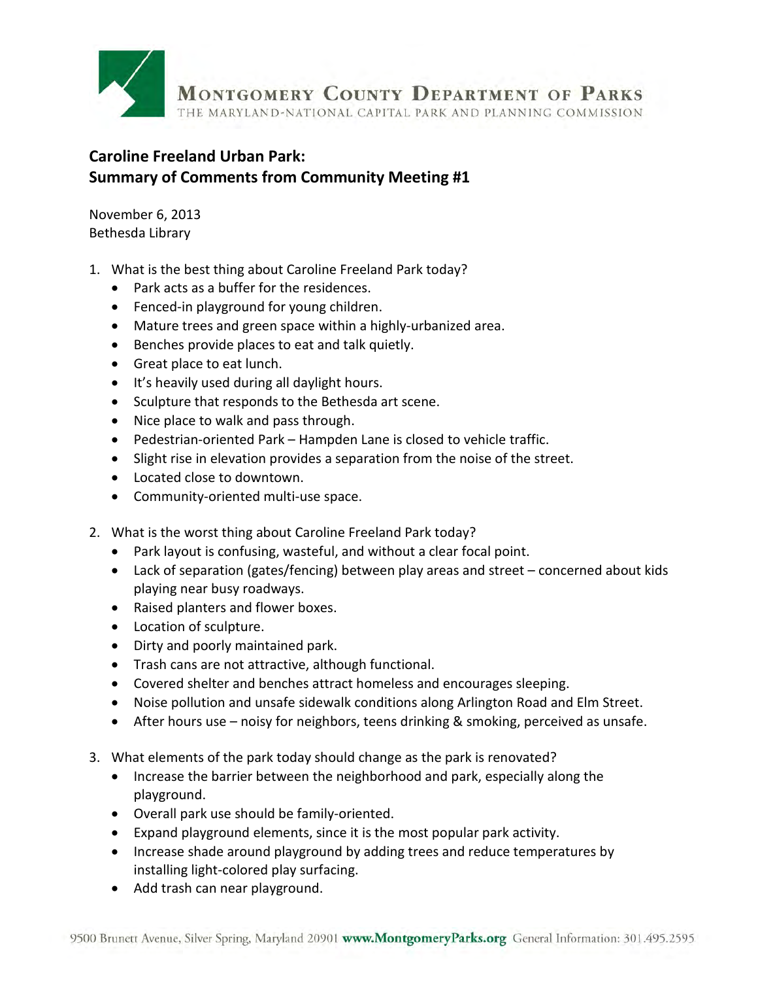

## **Caroline Freeland Urban Park: Summary of Comments from Community Meeting #1**

November 6, 2013 Bethesda Library

- 1. What is the best thing about Caroline Freeland Park today?
	- Park acts as a buffer for the residences.
	- Fenced-in playground for young children.
	- Mature trees and green space within a highly-urbanized area.
	- Benches provide places to eat and talk quietly.
	- Great place to eat lunch.
	- It's heavily used during all daylight hours.
	- Sculpture that responds to the Bethesda art scene.
	- Nice place to walk and pass through.
	- Pedestrian-oriented Park Hampden Lane is closed to vehicle traffic.
	- Slight rise in elevation provides a separation from the noise of the street.
	- Located close to downtown.
	- Community-oriented multi-use space.
- 2. What is the worst thing about Caroline Freeland Park today?
	- Park layout is confusing, wasteful, and without a clear focal point.
	- Lack of separation (gates/fencing) between play areas and street concerned about kids playing near busy roadways.
	- Raised planters and flower boxes.
	- Location of sculpture.
	- Dirty and poorly maintained park.
	- Trash cans are not attractive, although functional.
	- Covered shelter and benches attract homeless and encourages sleeping.
	- Noise pollution and unsafe sidewalk conditions along Arlington Road and Elm Street.
	- After hours use noisy for neighbors, teens drinking & smoking, perceived as unsafe.
- 3. What elements of the park today should change as the park is renovated?
	- Increase the barrier between the neighborhood and park, especially along the playground.
	- Overall park use should be family-oriented.
	- Expand playground elements, since it is the most popular park activity.
	- Increase shade around playground by adding trees and reduce temperatures by installing light-colored play surfacing.
	- Add trash can near playground.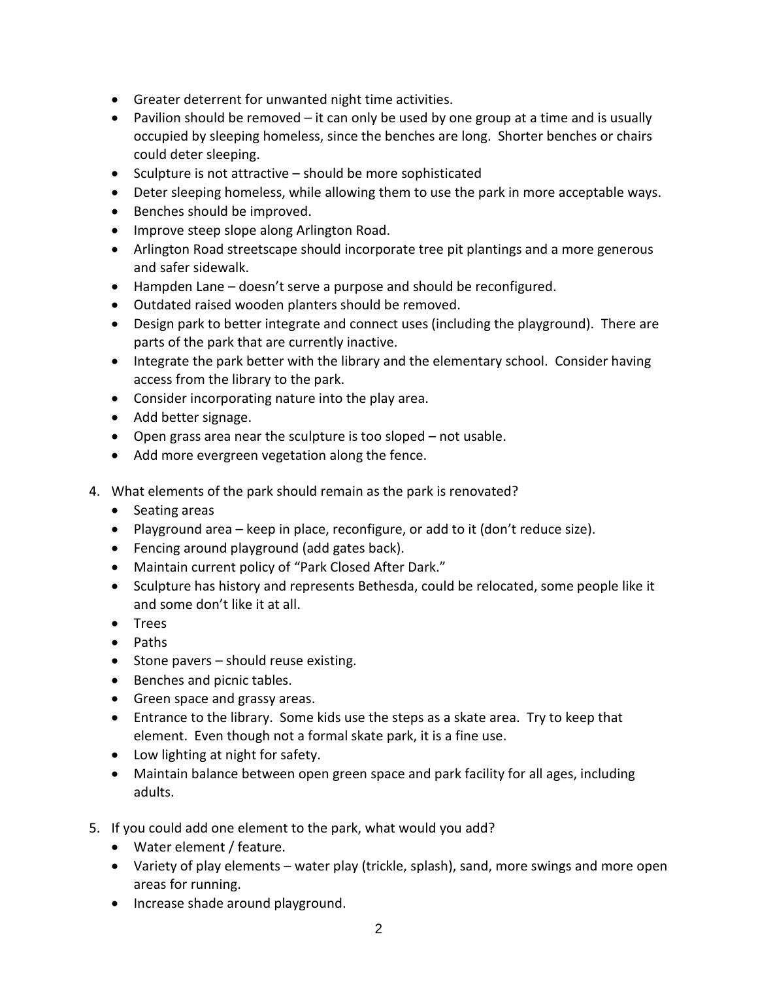- Greater deterrent for unwanted night time activities.
- Pavilion should be removed it can only be used by one group at a time and is usually occupied by sleeping homeless, since the benches are long. Shorter benches or chairs could deter sleeping.
- Sculpture is not attractive should be more sophisticated
- Deter sleeping homeless, while allowing them to use the park in more acceptable ways.
- Benches should be improved.
- Improve steep slope along Arlington Road.
- Arlington Road streetscape should incorporate tree pit plantings and a more generous and safer sidewalk.
- Hampden Lane doesn't serve a purpose and should be reconfigured.
- Outdated raised wooden planters should be removed.
- Design park to better integrate and connect uses (including the playground). There are parts of the park that are currently inactive.
- Integrate the park better with the library and the elementary school. Consider having access from the library to the park.
- Consider incorporating nature into the play area.
- Add better signage.
- Open grass area near the sculpture is too sloped not usable.
- Add more evergreen vegetation along the fence.
- 4. What elements of the park should remain as the park is renovated?
	- Seating areas
	- Playground area keep in place, reconfigure, or add to it (don't reduce size).
	- Fencing around playground (add gates back).
	- Maintain current policy of "Park Closed After Dark."
	- Sculpture has history and represents Bethesda, could be relocated, some people like it and some don't like it at all.
	- Trees
	- Paths
	- Stone pavers should reuse existing.
	- Benches and picnic tables.
	- Green space and grassy areas.
	- Entrance to the library. Some kids use the steps as a skate area. Try to keep that element. Even though not a formal skate park, it is a fine use.
	- Low lighting at night for safety.
	- Maintain balance between open green space and park facility for all ages, including adults.
- 5. If you could add one element to the park, what would you add?
	- Water element / feature.
	- Variety of play elements water play (trickle, splash), sand, more swings and more open areas for running.
	- Increase shade around playground.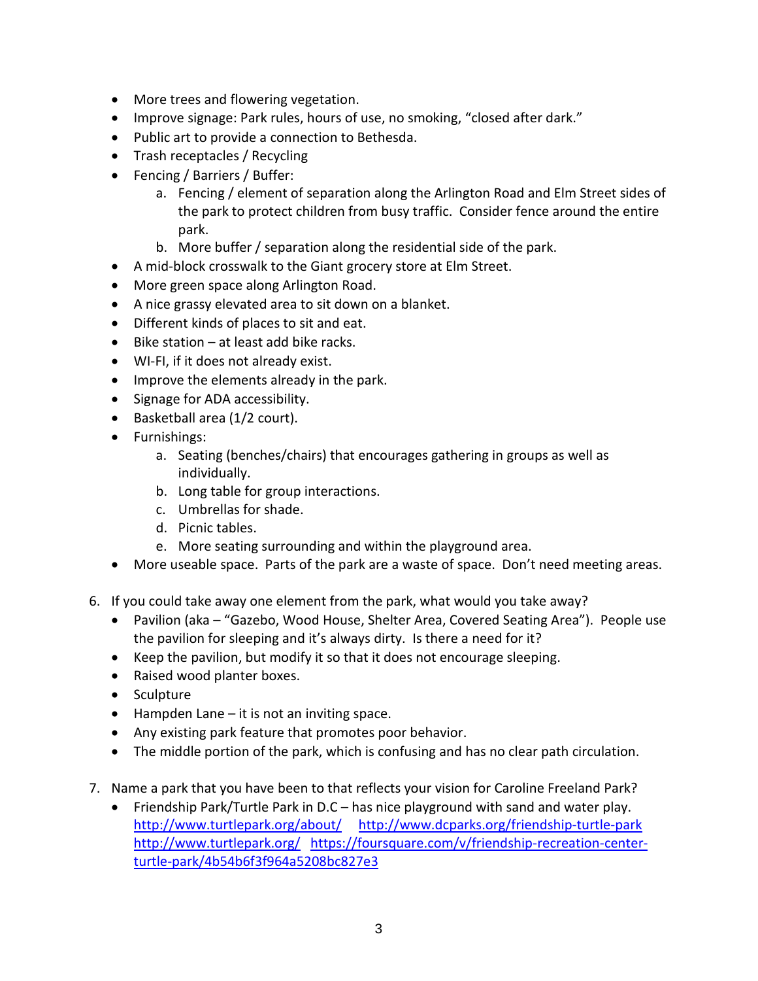- More trees and flowering vegetation.
- Improve signage: Park rules, hours of use, no smoking, "closed after dark."
- Public art to provide a connection to Bethesda.
- Trash receptacles / Recycling
- Fencing / Barriers / Buffer:
	- a. Fencing / element of separation along the Arlington Road and Elm Street sides of the park to protect children from busy traffic. Consider fence around the entire park.
	- b. More buffer / separation along the residential side of the park.
- A mid-block crosswalk to the Giant grocery store at Elm Street.
- More green space along Arlington Road.
- A nice grassy elevated area to sit down on a blanket.
- Different kinds of places to sit and eat.
- Bike station at least add bike racks.
- WI-FI, if it does not already exist.
- Improve the elements already in the park.
- Signage for ADA accessibility.
- Basketball area (1/2 court).
- Furnishings:
	- a. Seating (benches/chairs) that encourages gathering in groups as well as individually.
	- b. Long table for group interactions.
	- c. Umbrellas for shade.
	- d. Picnic tables.
	- e. More seating surrounding and within the playground area.
- More useable space. Parts of the park are a waste of space. Don't need meeting areas.
- 6. If you could take away one element from the park, what would you take away?
	- Pavilion (aka "Gazebo, Wood House, Shelter Area, Covered Seating Area"). People use the pavilion for sleeping and it's always dirty. Is there a need for it?
	- Keep the pavilion, but modify it so that it does not encourage sleeping.
	- Raised wood planter boxes.
	- Sculpture
	- Hampden Lane it is not an inviting space.
	- Any existing park feature that promotes poor behavior.
	- The middle portion of the park, which is confusing and has no clear path circulation.
- 7. Name a park that you have been to that reflects your vision for Caroline Freeland Park?
	- Friendship Park/Turtle Park in D.C has nice playground with sand and water play. <http://www.turtlepark.org/about/>http://www.dcparks.org/friendship-turtle-park <http://www.turtlepark.org/>[https://foursquare.com/v/friendship-recreation-center](https://foursquare.com/v/friendship-recreation-center-turtle-park/4b54b6f3f964a5208bc827e3)[turtle-park/4b54b6f3f964a5208bc827e3](https://foursquare.com/v/friendship-recreation-center-turtle-park/4b54b6f3f964a5208bc827e3)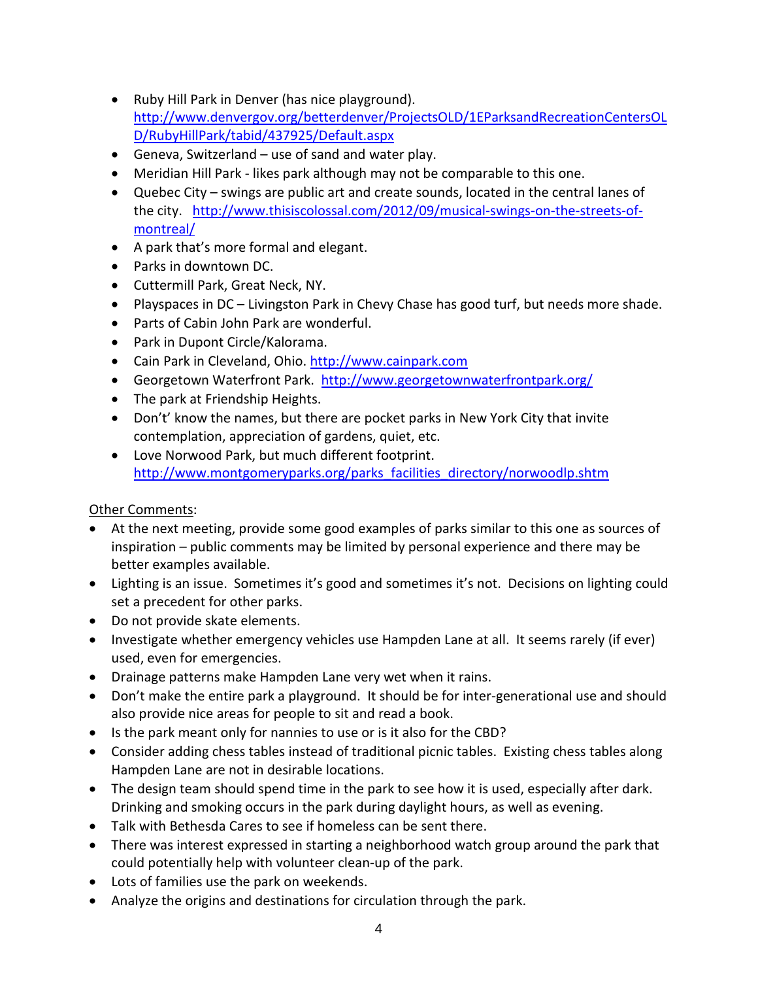- Ruby Hill Park in Denver (has nice playground). [http://www.denvergov.org/betterdenver/ProjectsOLD/1EParksandRecreationCentersOL](http://www.denvergov.org/betterdenver/ProjectsOLD/1EParksandRecreationCentersOLD/RubyHillPark/tabid/437925/Default.aspx) [D/RubyHillPark/tabid/437925/Default.aspx](http://www.denvergov.org/betterdenver/ProjectsOLD/1EParksandRecreationCentersOLD/RubyHillPark/tabid/437925/Default.aspx)
- Geneva, Switzerland use of sand and water play.
- Meridian Hill Park likes park although may not be comparable to this one.
- Quebec City swings are public art and create sounds, located in the central lanes of the city. [http://www.thisiscolossal.com/2012/09/musical-swings-on-the-streets-of](http://www.thisiscolossal.com/2012/09/musical-swings-on-the-streets-of-montreal/)[montreal/](http://www.thisiscolossal.com/2012/09/musical-swings-on-the-streets-of-montreal/)
- A park that's more formal and elegant.
- Parks in downtown DC.
- Cuttermill Park, Great Neck, NY.
- Playspaces in DC Livingston Park in Chevy Chase has good turf, but needs more shade.
- Parts of Cabin John Park are wonderful.
- Park in Dupont Circle/Kalorama.
- Cain Park in Cleveland, Ohio. [http://www.cainpark.com](http://www.cainpark.com/)
- Georgetown Waterfront Park. <http://www.georgetownwaterfrontpark.org/>
- The park at Friendship Heights.
- Don't' know the names, but there are pocket parks in New York City that invite contemplation, appreciation of gardens, quiet, etc.
- Love Norwood Park, but much different footprint. [http://www.montgomeryparks.org/parks\\_facilities\\_directory/norwoodlp.shtm](http://www.montgomeryparks.org/parks_facilities_directory/norwoodlp.shtm)

## Other Comments:

- At the next meeting, provide some good examples of parks similar to this one as sources of inspiration – public comments may be limited by personal experience and there may be better examples available.
- Lighting is an issue. Sometimes it's good and sometimes it's not. Decisions on lighting could set a precedent for other parks.
- Do not provide skate elements.
- Investigate whether emergency vehicles use Hampden Lane at all. It seems rarely (if ever) used, even for emergencies.
- Drainage patterns make Hampden Lane very wet when it rains.
- Don't make the entire park a playground. It should be for inter-generational use and should also provide nice areas for people to sit and read a book.
- Is the park meant only for nannies to use or is it also for the CBD?
- Consider adding chess tables instead of traditional picnic tables. Existing chess tables along Hampden Lane are not in desirable locations.
- The design team should spend time in the park to see how it is used, especially after dark. Drinking and smoking occurs in the park during daylight hours, as well as evening.
- Talk with Bethesda Cares to see if homeless can be sent there.
- There was interest expressed in starting a neighborhood watch group around the park that could potentially help with volunteer clean-up of the park.
- Lots of families use the park on weekends.
- Analyze the origins and destinations for circulation through the park.